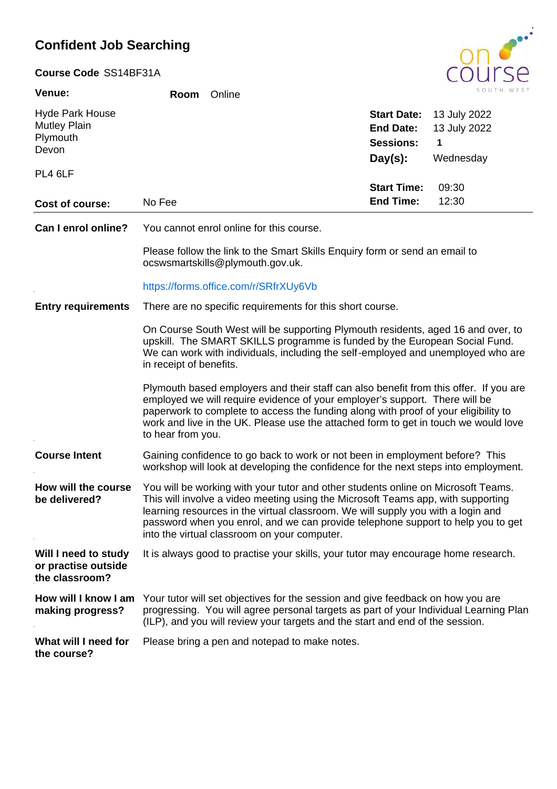## **Confident Job Searching**

| Course Code SS14BF31A |  |
|-----------------------|--|
|-----------------------|--|

| <b>Venue:</b>          | Room   | Online |                    | SOUTH WES    |
|------------------------|--------|--------|--------------------|--------------|
| <b>Hyde Park House</b> |        |        | <b>Start Date:</b> | 13 July 2022 |
| <b>Mutley Plain</b>    |        |        | <b>End Date:</b>   | 13 July 2022 |
| Plymouth<br>Devon      |        |        | <b>Sessions:</b>   | 1            |
|                        |        |        | $Day(s)$ :         | Wednesday    |
| PL4 6LF                |        |        |                    |              |
|                        |        |        | <b>Start Time:</b> | 09:30        |
| Cost of course:        | No Fee |        | <b>End Time:</b>   | 12:30        |
|                        |        |        |                    |              |

You cannot enrol online for this course. **Can I enrol online?**

> Please follow the link to the Smart Skills Enquiry form or send an email to ocswsmartskills@plymouth.gov.uk.

#### https://forms.office.com/r/SRfrXUy6Vb

#### There are no specific requirements for this short course. **Entry requirements**

On Course South West will be supporting Plymouth residents, aged 16 and over, to upskill. The SMART SKILLS programme is funded by the European Social Fund. We can work with individuals, including the self-employed and unemployed who are in receipt of benefits.

Plymouth based employers and their staff can also benefit from this offer. If you are employed we will require evidence of your employer's support. There will be paperwork to complete to access the funding along with proof of your eligibility to work and live in the UK. Please use the attached form to get in touch we would love to hear from you.

#### Gaining confidence to go back to work or not been in employment before? This workshop will look at developing the confidence for the next steps into employment. **Course Intent**

You will be working with your tutor and other students online on Microsoft Teams. This will involve a video meeting using the Microsoft Teams app, with supporting learning resources in the virtual classroom. We will supply you with a login and password when you enrol, and we can provide telephone support to help you to get into the virtual classroom on your computer. **How will the course be delivered?**

**Will I need to study** It is always good to practise your skills, your tutor may encourage home research. **or practise outside** 

#### How will I know I am Your tutor will set objectives for the session and give feedback on how you are progressing. You will agree personal targets as part of your Individual Learning Plan (ILP), and you will review your targets and the start and end of the session. **making progress?**

What will I need for Please bring a pen and notepad to make notes.

**the course?**

**the classroom?**